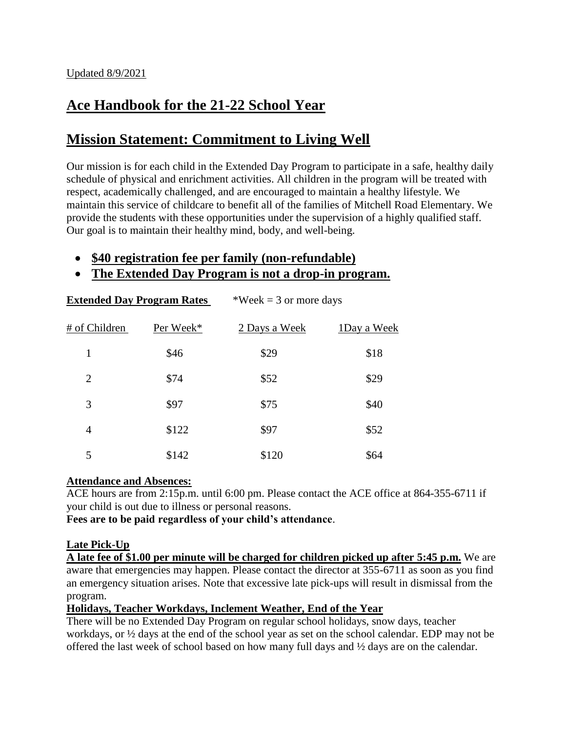# **Ace Handbook for the 21-22 School Year**

# **Mission Statement: Commitment to Living Well**

Our mission is for each child in the Extended Day Program to participate in a safe, healthy daily schedule of physical and enrichment activities. All children in the program will be treated with respect, academically challenged, and are encouraged to maintain a healthy lifestyle. We maintain this service of childcare to benefit all of the families of Mitchell Road Elementary. We provide the students with these opportunities under the supervision of a highly qualified staff. Our goal is to maintain their healthy mind, body, and well-being.

# **\$40 registration fee per family (non-refundable)**

## **The Extended Day Program is not a drop-in program.**

| <b>Extended Day Program Rates</b> |           | *Week = 3 or more days |             |
|-----------------------------------|-----------|------------------------|-------------|
| # of Children                     | Per Week* | 2 Days a Week          | 1Day a Week |
| 1                                 | \$46      | \$29                   | \$18        |
| $\overline{2}$                    | \$74      | \$52                   | \$29        |
| 3                                 | \$97      | \$75                   | \$40        |
| 4                                 | \$122     | \$97                   | \$52        |
| 5                                 | \$142     | \$120                  | \$64        |

#### **Attendance and Absences:**

ACE hours are from 2:15p.m. until 6:00 pm. Please contact the ACE office at 864-355-6711 if your child is out due to illness or personal reasons.

**Fees are to be paid regardless of your child's attendance**.

### **Late Pick-Up**

**A late fee of \$1.00 per minute will be charged for children picked up after 5:45 p.m.** We are aware that emergencies may happen. Please contact the director at 355-6711 as soon as you find an emergency situation arises. Note that excessive late pick-ups will result in dismissal from the program.

**Holidays, Teacher Workdays, Inclement Weather, End of the Year**

There will be no Extended Day Program on regular school holidays, snow days, teacher workdays, or ½ days at the end of the school year as set on the school calendar. EDP may not be offered the last week of school based on how many full days and ½ days are on the calendar.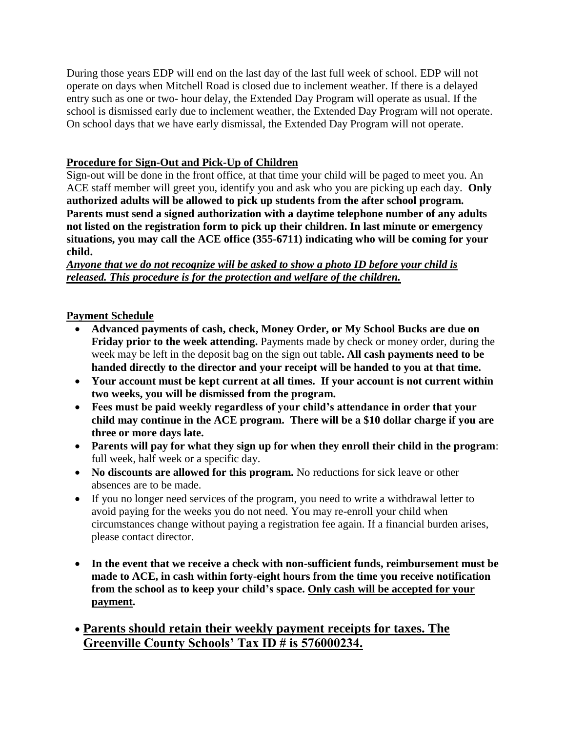During those years EDP will end on the last day of the last full week of school. EDP will not operate on days when Mitchell Road is closed due to inclement weather. If there is a delayed entry such as one or two- hour delay, the Extended Day Program will operate as usual. If the school is dismissed early due to inclement weather, the Extended Day Program will not operate. On school days that we have early dismissal, the Extended Day Program will not operate.

## **Procedure for Sign-Out and Pick-Up of Children**

Sign-out will be done in the front office, at that time your child will be paged to meet you. An ACE staff member will greet you, identify you and ask who you are picking up each day. **Only authorized adults will be allowed to pick up students from the after school program. Parents must send a signed authorization with a daytime telephone number of any adults not listed on the registration form to pick up their children. In last minute or emergency situations, you may call the ACE office (355-6711) indicating who will be coming for your child.** 

*Anyone that we do not recognize will be asked to show a photo ID before your child is released. This procedure is for the protection and welfare of the children.*

### **Payment Schedule**

- **Advanced payments of cash, check, Money Order, or My School Bucks are due on Friday prior to the week attending.** Payments made by check or money order, during the week may be left in the deposit bag on the sign out table**. All cash payments need to be handed directly to the director and your receipt will be handed to you at that time.**
- **Your account must be kept current at all times. If your account is not current within two weeks, you will be dismissed from the program.**
- **Fees must be paid weekly regardless of your child's attendance in order that your child may continue in the ACE program. There will be a \$10 dollar charge if you are three or more days late.**
- **Parents will pay for what they sign up for when they enroll their child in the program**: full week, half week or a specific day.
- **No discounts are allowed for this program.** No reductions for sick leave or other absences are to be made.
- If you no longer need services of the program, you need to write a withdrawal letter to avoid paying for the weeks you do not need. You may re-enroll your child when circumstances change without paying a registration fee again. If a financial burden arises, please contact director.
- **In the event that we receive a check with non-sufficient funds, reimbursement must be made to ACE, in cash within forty-eight hours from the time you receive notification from the school as to keep your child's space. Only cash will be accepted for your payment.**
- **Parents should retain their weekly payment receipts for taxes. The Greenville County Schools' Tax ID # is 576000234.**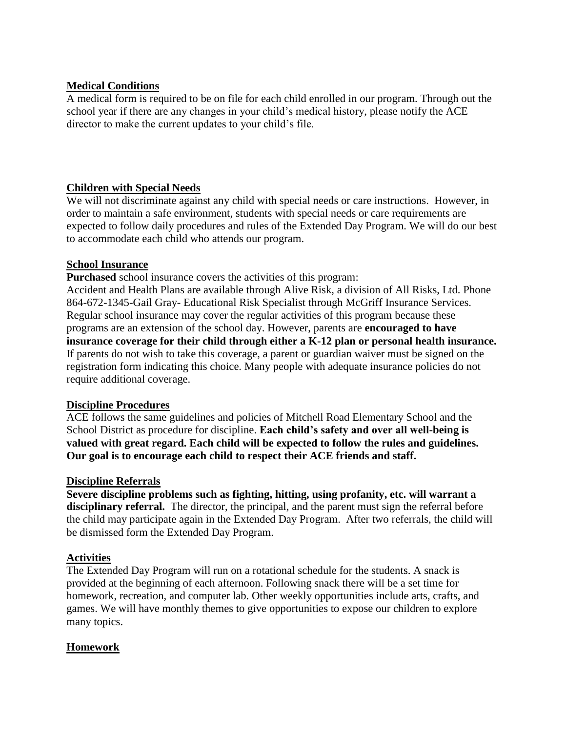## **Medical Conditions**

A medical form is required to be on file for each child enrolled in our program. Through out the school year if there are any changes in your child's medical history, please notify the ACE director to make the current updates to your child's file.

## **Children with Special Needs**

We will not discriminate against any child with special needs or care instructions. However, in order to maintain a safe environment, students with special needs or care requirements are expected to follow daily procedures and rules of the Extended Day Program. We will do our best to accommodate each child who attends our program.

### **School Insurance**

**Purchased** school insurance covers the activities of this program:

Accident and Health Plans are available through Alive Risk, a division of All Risks, Ltd. Phone 864-672-1345-Gail Gray- Educational Risk Specialist through McGriff Insurance Services. Regular school insurance may cover the regular activities of this program because these programs are an extension of the school day. However, parents are **encouraged to have insurance coverage for their child through either a K-12 plan or personal health insurance.** If parents do not wish to take this coverage, a parent or guardian waiver must be signed on the registration form indicating this choice. Many people with adequate insurance policies do not require additional coverage.

### **Discipline Procedures**

ACE follows the same guidelines and policies of Mitchell Road Elementary School and the School District as procedure for discipline. **Each child's safety and over all well-being is valued with great regard. Each child will be expected to follow the rules and guidelines. Our goal is to encourage each child to respect their ACE friends and staff.** 

### **Discipline Referrals**

**Severe discipline problems such as fighting, hitting, using profanity, etc. will warrant a**  disciplinary referral. The director, the principal, and the parent must sign the referral before the child may participate again in the Extended Day Program. After two referrals, the child will be dismissed form the Extended Day Program.

### **Activities**

The Extended Day Program will run on a rotational schedule for the students. A snack is provided at the beginning of each afternoon. Following snack there will be a set time for homework, recreation, and computer lab. Other weekly opportunities include arts, crafts, and games. We will have monthly themes to give opportunities to expose our children to explore many topics.

### **Homework**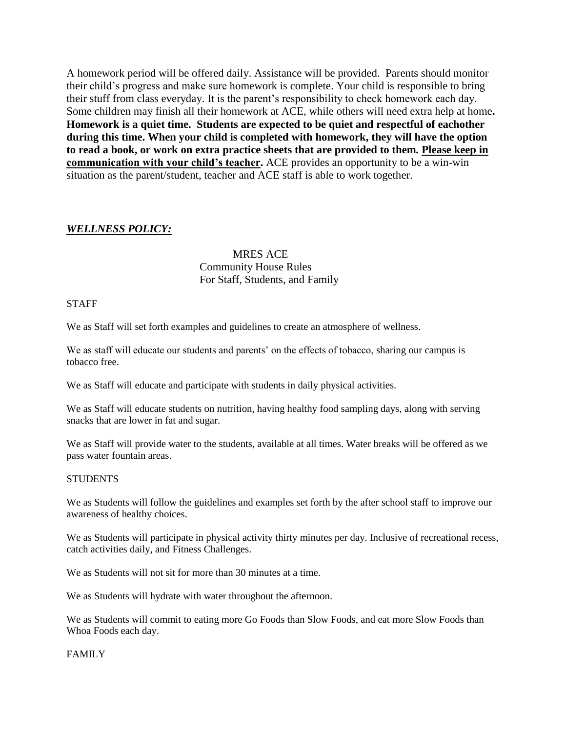A homework period will be offered daily. Assistance will be provided. Parents should monitor their child's progress and make sure homework is complete. Your child is responsible to bring their stuff from class everyday. It is the parent's responsibility to check homework each day. Some children may finish all their homework at ACE, while others will need extra help at home**. Homework is a quiet time. Students are expected to be quiet and respectful of eachother during this time. When your child is completed with homework, they will have the option to read a book, or work on extra practice sheets that are provided to them. Please keep in communication with your child's teacher.** ACE provides an opportunity to be a win-win situation as the parent/student, teacher and ACE staff is able to work together.

#### *WELLNESS POLICY:*

#### MRES ACE Community House Rules For Staff, Students, and Family

#### STAFF

We as Staff will set forth examples and guidelines to create an atmosphere of wellness.

We as staff will educate our students and parents' on the effects of tobacco, sharing our campus is tobacco free.

We as Staff will educate and participate with students in daily physical activities.

We as Staff will educate students on nutrition, having healthy food sampling days, along with serving snacks that are lower in fat and sugar.

We as Staff will provide water to the students, available at all times. Water breaks will be offered as we pass water fountain areas.

#### **STUDENTS**

We as Students will follow the guidelines and examples set forth by the after school staff to improve our awareness of healthy choices.

We as Students will participate in physical activity thirty minutes per day. Inclusive of recreational recess, catch activities daily, and Fitness Challenges.

We as Students will not sit for more than 30 minutes at a time.

We as Students will hydrate with water throughout the afternoon.

We as Students will commit to eating more Go Foods than Slow Foods, and eat more Slow Foods than Whoa Foods each day.

#### FAMILY